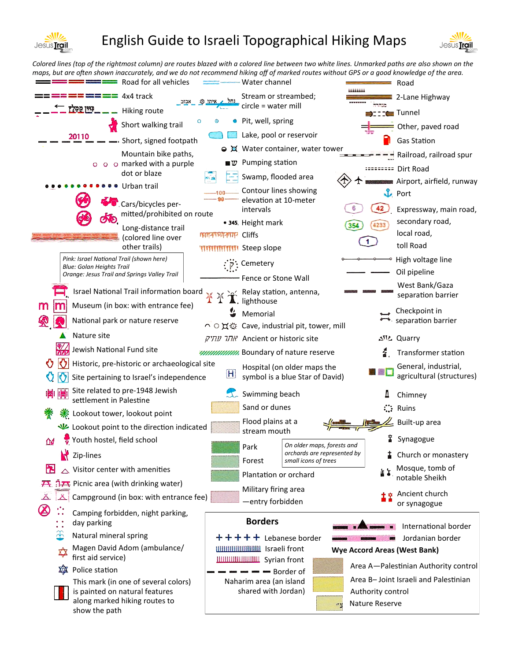

## English Guide to Israeli Topographical Hiking Maps



*Colored lines (top of the rightmost column) are routes blazed with a colored line between two white lines. Unmarked paths are also shown on the maps, but are often shown inaccurately, and we do not recommend hiking off of marked routes without GPS or a good knowledge of the area.*